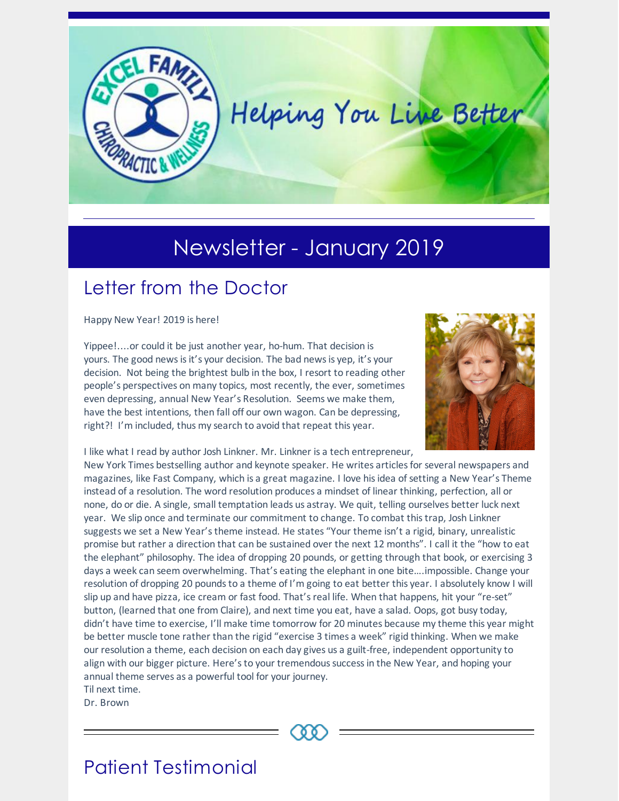

# Newsletter - January 2019

## Letter from the Doctor

Happy New Year! 2019 is here!

Yippee!....or could it be just another year, ho-hum. That decision is yours. The good newsisit's your decision. The bad newsis yep, it's your decision. Not being the brightest bulb in the box, I resort to reading other people's perspectives on many topics, most recently, the ever, sometimes even depressing, annual New Year's Resolution. Seems we make them, have the best intentions, then fall off our own wagon. Can be depressing, right?! I'm included, thus my search to avoid that repeat this year.



I like what I read by author Josh Linkner. Mr. Linkner is a tech entrepreneur,

New York Times bestselling author and keynote speaker. He writes articlesfor several newspapers and magazines, like Fast Company, which is a great magazine. I love hisidea of setting a New Year's Theme instead of a resolution. The word resolution produces a mindset of linear thinking, perfection, all or none, do or die. A single, small temptation leads us astray. We quit, telling ourselves better luck next year. We slip once and terminate our commitment to change. To combat thistrap, Josh Linkner suggests we set a New Year's theme instead. He states "Your theme isn't a rigid, binary, unrealistic promise but rather a direction that can be sustained over the next 12 months". I call it the "how to eat the elephant" philosophy. The idea of dropping 20 pounds, or getting through that book, or exercising 3 days a week can seem overwhelming. That's eating the elephant in one bite….impossible. Change your resolution of dropping 20 pounds to a theme of I'm going to eat better this year. I absolutely know I will slip up and have pizza, ice cream or fast food. That'sreal life. When that happens, hit your "re-set" button, (learned that one from Claire), and next time you eat, have a salad. Oops, got busy today, didn't have time to exercise, I'll make time tomorrow for 20 minutes because my theme this year might be better muscle tone rather than the rigid "exercise 3 times a week" rigid thinking. When we make our resolution a theme, each decision on each day gives us a guilt-free, independent opportunity to align with our bigger picture. Here'sto your tremendoussuccessin the New Year, and hoping your annual theme serves as a powerful tool for your journey.

Til next time.

Dr. Brown



### Patient Testimonial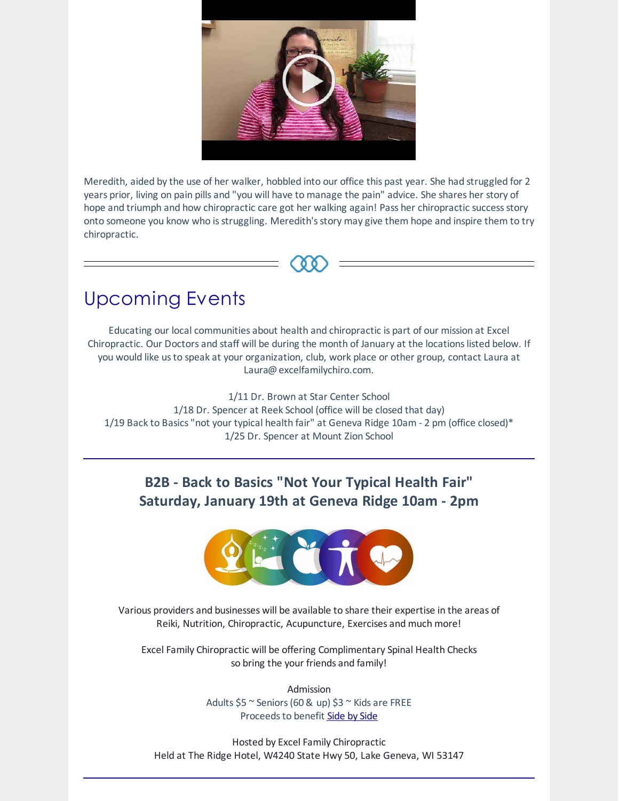

Meredith, aided by the use of her walker, hobbled into our office this past year. She had struggled for 2 years prior, living on pain pills and "you will have to manage the pain" advice. She shares her story of hope and triumph and how chiropractic care got her walking again! Pass her chiropractic success story onto someone you know who is struggling. Meredith's story may give them hope and inspire them to try chiropractic.

### Upcoming Events

Educating our local communities about health and chiropractic is part of our mission at Excel Chiropractic. Our Doctors and staff will be during the month of January at the locations listed below. If you would like usto speak at your organization, club, work place or other group, contact Laura at Laura@excelfamilychiro.com.

1/11 Dr. Brown at Star Center School 1/18 Dr. Spencer at Reek School (office will be closed that day) 1/19 Back to Basics "not your typical health fair" at Geneva Ridge 10am - 2 pm (office closed)\* 1/25 Dr. Spencer at Mount Zion School

### **B2B - Back to Basics "Not Your Typical Health Fair" Saturday, January 19th at Geneva Ridge 10am - 2pm**



Various providers and businesses will be available to share their expertise in the areas of Reiki, Nutrition, Chiropractic, Acupuncture, Exercises and much more!

Excel Family Chiropractic will be offering Complimentary Spinal Health Checks so bring the your friends and family!

> Admission Adults  $$5^{\circ}$$  Seniors (60 & up)  $$3^{\circ}$$  Kids are FREE Proceeds to benefit [Side](http://sidebysidelakegeneva.org/) by Side

Hosted by Excel Family Chiropractic Held at The Ridge Hotel, W4240 State Hwy 50, Lake Geneva, WI 53147